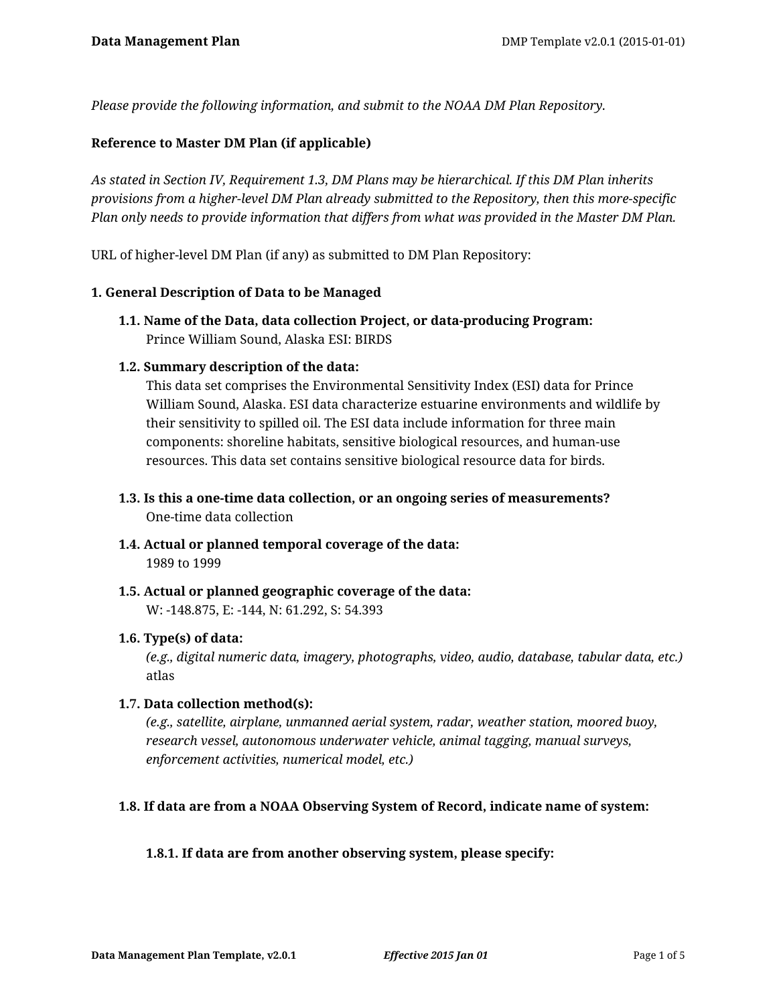*Please provide the following information, and submit to the NOAA DM Plan Repository.*

#### **Reference to Master DM Plan (if applicable)**

*As stated in Section IV, Requirement 1.3, DM Plans may be hierarchical. If this DM Plan inherits provisions from a higher-level DM Plan already submitted to the Repository, then this more-specific Plan only needs to provide information that differs from what was provided in the Master DM Plan.*

URL of higher-level DM Plan (if any) as submitted to DM Plan Repository:

#### **1. General Description of Data to be Managed**

**1.1. Name of the Data, data collection Project, or data-producing Program:** Prince William Sound, Alaska ESI: BIRDS

#### **1.2. Summary description of the data:**

This data set comprises the Environmental Sensitivity Index (ESI) data for Prince William Sound, Alaska. ESI data characterize estuarine environments and wildlife by their sensitivity to spilled oil. The ESI data include information for three main components: shoreline habitats, sensitive biological resources, and human-use resources. This data set contains sensitive biological resource data for birds.

- **1.3. Is this a one-time data collection, or an ongoing series of measurements?** One-time data collection
- **1.4. Actual or planned temporal coverage of the data:** 1989 to 1999
- **1.5. Actual or planned geographic coverage of the data:** W: -148.875, E: -144, N: 61.292, S: 54.393

#### **1.6. Type(s) of data:**

*(e.g., digital numeric data, imagery, photographs, video, audio, database, tabular data, etc.)* atlas

#### **1.7. Data collection method(s):**

*(e.g., satellite, airplane, unmanned aerial system, radar, weather station, moored buoy, research vessel, autonomous underwater vehicle, animal tagging, manual surveys, enforcement activities, numerical model, etc.)*

## **1.8. If data are from a NOAA Observing System of Record, indicate name of system:**

#### **1.8.1. If data are from another observing system, please specify:**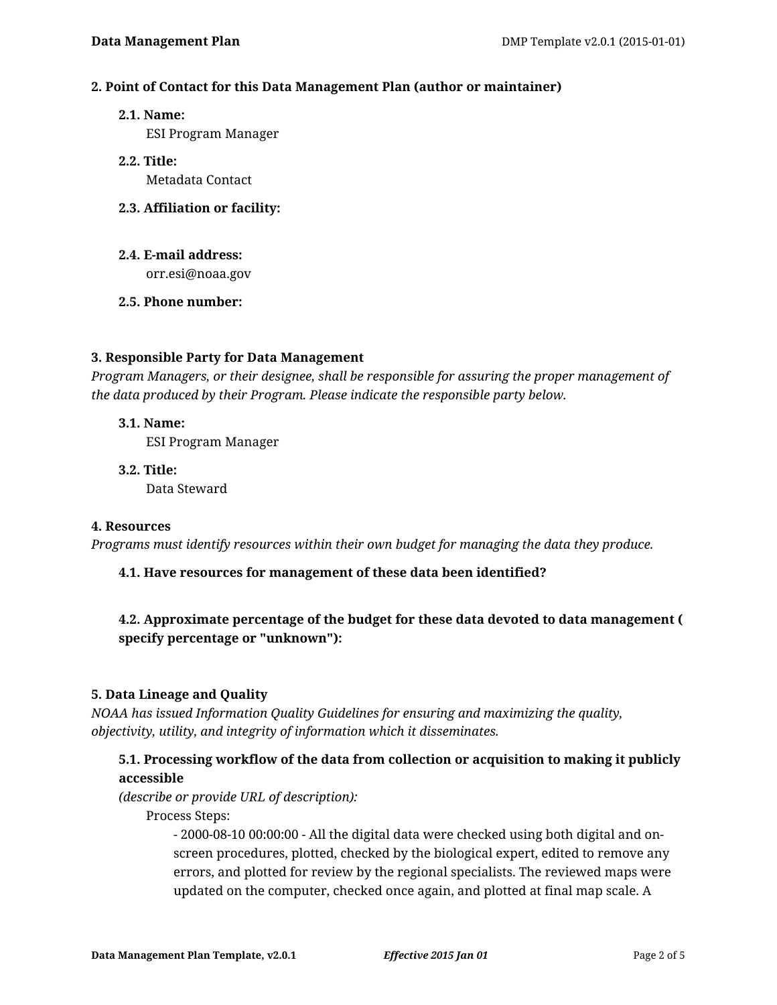#### **2. Point of Contact for this Data Management Plan (author or maintainer)**

**2.1. Name:**

ESI Program Manager

- **2.2. Title:** Metadata Contact
- **2.3. Affiliation or facility:**
- **2.4. E-mail address:**

orr.esi@noaa.gov

**2.5. Phone number:**

#### **3. Responsible Party for Data Management**

*Program Managers, or their designee, shall be responsible for assuring the proper management of the data produced by their Program. Please indicate the responsible party below.*

- **3.1. Name:** ESI Program Manager
- **3.2. Title:** Data Steward

#### **4. Resources**

*Programs must identify resources within their own budget for managing the data they produce.*

## **4.1. Have resources for management of these data been identified?**

# **4.2. Approximate percentage of the budget for these data devoted to data management ( specify percentage or "unknown"):**

## **5. Data Lineage and Quality**

*NOAA has issued Information Quality Guidelines for ensuring and maximizing the quality, objectivity, utility, and integrity of information which it disseminates.*

# **5.1. Processing workflow of the data from collection or acquisition to making it publicly accessible**

*(describe or provide URL of description):*

Process Steps:

- 2000-08-10 00:00:00 - All the digital data were checked using both digital and onscreen procedures, plotted, checked by the biological expert, edited to remove any errors, and plotted for review by the regional specialists. The reviewed maps were updated on the computer, checked once again, and plotted at final map scale. A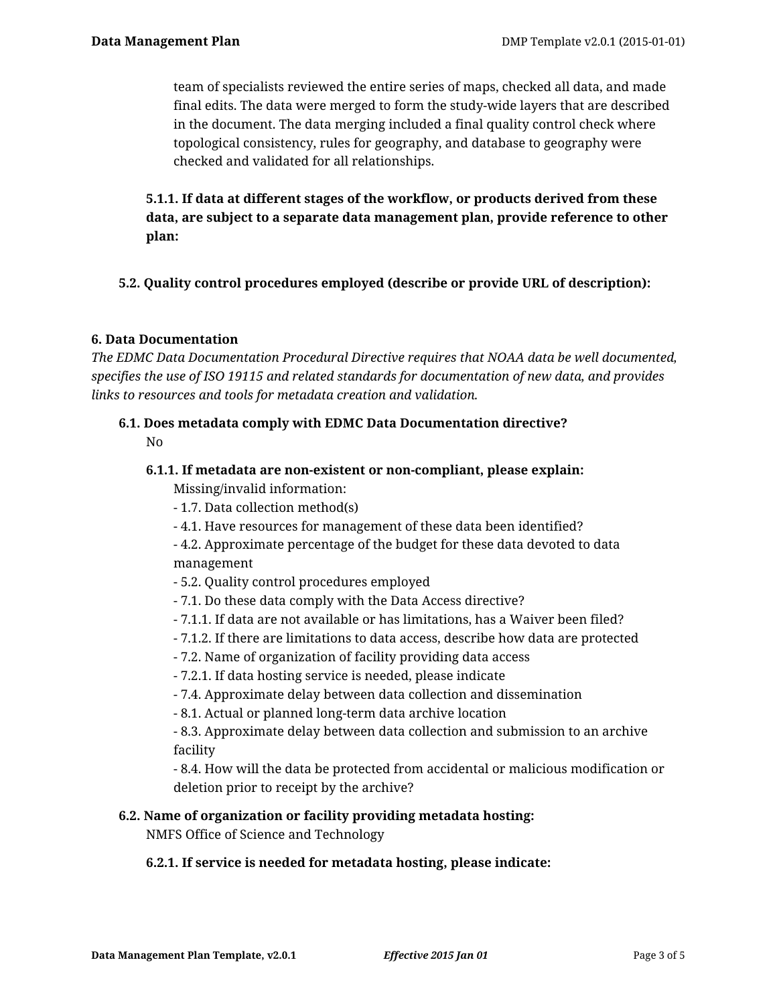team of specialists reviewed the entire series of maps, checked all data, and made final edits. The data were merged to form the study-wide layers that are described in the document. The data merging included a final quality control check where topological consistency, rules for geography, and database to geography were checked and validated for all relationships.

**5.1.1. If data at different stages of the workflow, or products derived from these data, are subject to a separate data management plan, provide reference to other plan:**

## **5.2. Quality control procedures employed (describe or provide URL of description):**

## **6. Data Documentation**

*The EDMC Data Documentation Procedural Directive requires that NOAA data be well documented, specifies the use of ISO 19115 and related standards for documentation of new data, and provides links to resources and tools for metadata creation and validation.*

## **6.1. Does metadata comply with EDMC Data Documentation directive?** No

#### **6.1.1. If metadata are non-existent or non-compliant, please explain:**

Missing/invalid information:

- 1.7. Data collection method(s)
- 4.1. Have resources for management of these data been identified?

- 4.2. Approximate percentage of the budget for these data devoted to data management

- 5.2. Quality control procedures employed
- 7.1. Do these data comply with the Data Access directive?
- 7.1.1. If data are not available or has limitations, has a Waiver been filed?
- 7.1.2. If there are limitations to data access, describe how data are protected
- 7.2. Name of organization of facility providing data access
- 7.2.1. If data hosting service is needed, please indicate
- 7.4. Approximate delay between data collection and dissemination
- 8.1. Actual or planned long-term data archive location

- 8.3. Approximate delay between data collection and submission to an archive facility

- 8.4. How will the data be protected from accidental or malicious modification or deletion prior to receipt by the archive?

#### **6.2. Name of organization or facility providing metadata hosting:**

NMFS Office of Science and Technology

## **6.2.1. If service is needed for metadata hosting, please indicate:**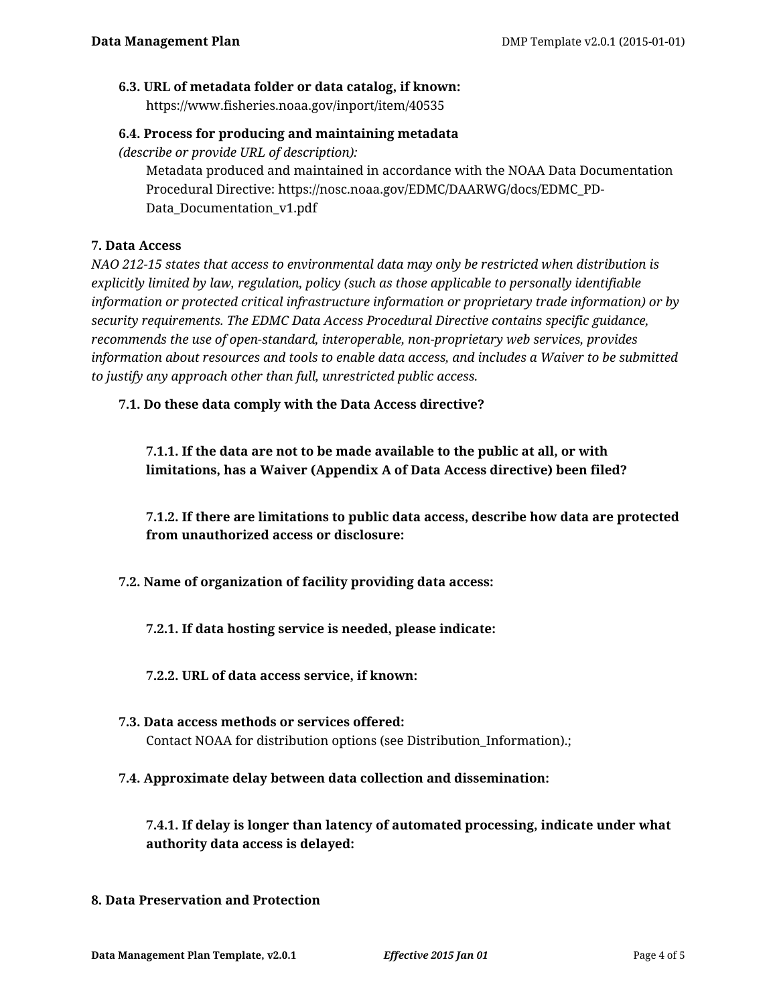# **6.3. URL of metadata folder or data catalog, if known:**

https://www.fisheries.noaa.gov/inport/item/40535

# **6.4. Process for producing and maintaining metadata**

*(describe or provide URL of description):*

Metadata produced and maintained in accordance with the NOAA Data Documentation Procedural Directive: https://nosc.noaa.gov/EDMC/DAARWG/docs/EDMC\_PD-Data\_Documentation\_v1.pdf

## **7. Data Access**

*NAO 212-15 states that access to environmental data may only be restricted when distribution is explicitly limited by law, regulation, policy (such as those applicable to personally identifiable information or protected critical infrastructure information or proprietary trade information) or by security requirements. The EDMC Data Access Procedural Directive contains specific guidance, recommends the use of open-standard, interoperable, non-proprietary web services, provides information about resources and tools to enable data access, and includes a Waiver to be submitted to justify any approach other than full, unrestricted public access.*

**7.1. Do these data comply with the Data Access directive?**

**7.1.1. If the data are not to be made available to the public at all, or with limitations, has a Waiver (Appendix A of Data Access directive) been filed?**

**7.1.2. If there are limitations to public data access, describe how data are protected from unauthorized access or disclosure:**

**7.2. Name of organization of facility providing data access:**

**7.2.1. If data hosting service is needed, please indicate:**

**7.2.2. URL of data access service, if known:**

- **7.3. Data access methods or services offered:** Contact NOAA for distribution options (see Distribution\_Information).;
- **7.4. Approximate delay between data collection and dissemination:**

**7.4.1. If delay is longer than latency of automated processing, indicate under what authority data access is delayed:**

**8. Data Preservation and Protection**